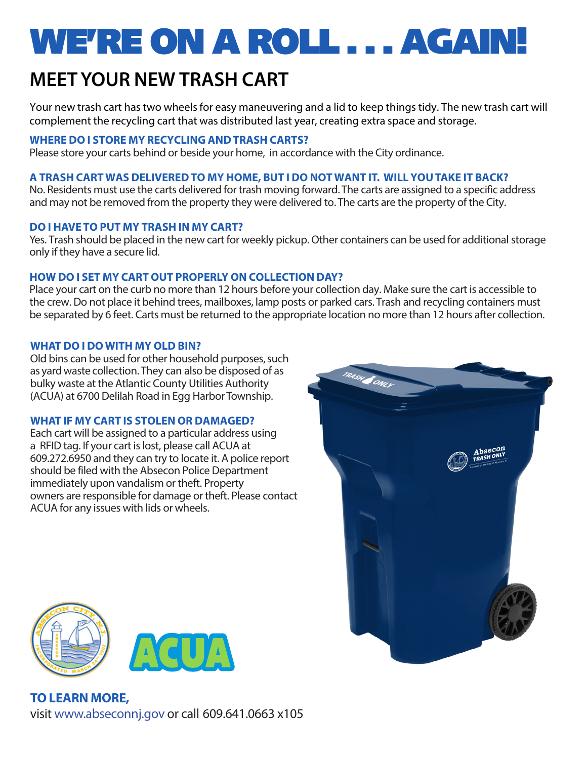# WE'RE ON A ROLL . . . AGAIN!

## **MEET YOUR NEW TRASH CART**

Your new trash cart has two wheels for easy maneuvering and a lid to keep things tidy. The new trash cart will complement the recycling cart that was distributed last year, creating extra space and storage.

### **WHERE DO I STORE MY RECYCLING AND TRASH CARTS?**

Please store your carts behind or beside your home, in accordance with the City ordinance.

### **A TRASH CART WAS DELIVERED TO MY HOME, BUT I DO NOT WANT IT. WILL YOU TAKE IT BACK?**

No. Residents must use the carts delivered for trash moving forward. The carts are assigned to a specific address and may not be removed from the property they were delivered to. The carts are the property of the City.

#### **DO I HAVE TO PUT MY TRASH IN MY CART?**

Yes. Trash should be placed in the new cart for weekly pickup. Other containers can be used for additional storage only if they have a secure lid.

#### **HOW DO I SET MY CART OUT PROPERLY ON COLLECTION DAY?**

Place your cart on the curb no more than 12 hours before your collection day. Make sure the cart is accessible to the crew. Do not place it behind trees, mailboxes, lamp posts or parked cars. Trash and recycling containers must be separated by 6 feet. Carts must be returned to the appropriate location no more than 12 hours after collection.

#### **WHAT DO I DO WITH MY OLD BIN?**

Old bins can be used for other household purposes, such as yard waste collection. They can also be disposed of as bulky waste at the Atlantic County Utilities Authority (ACUA) at 6700 Delilah Road in Egg Harbor Township.

#### **WHAT IF MY CART IS STOLEN OR DAMAGED?**

Each cart will be assigned to a particular address using a RFID tag. If your cart is lost, please call ACUA at 609.272.6950 and they can try to locate it. A police report should be filed with the Absecon Police Department immediately upon vandalism or theft. Property owners are responsible for damage or theft. Please contact ACUA for any issues with lids or wheels.